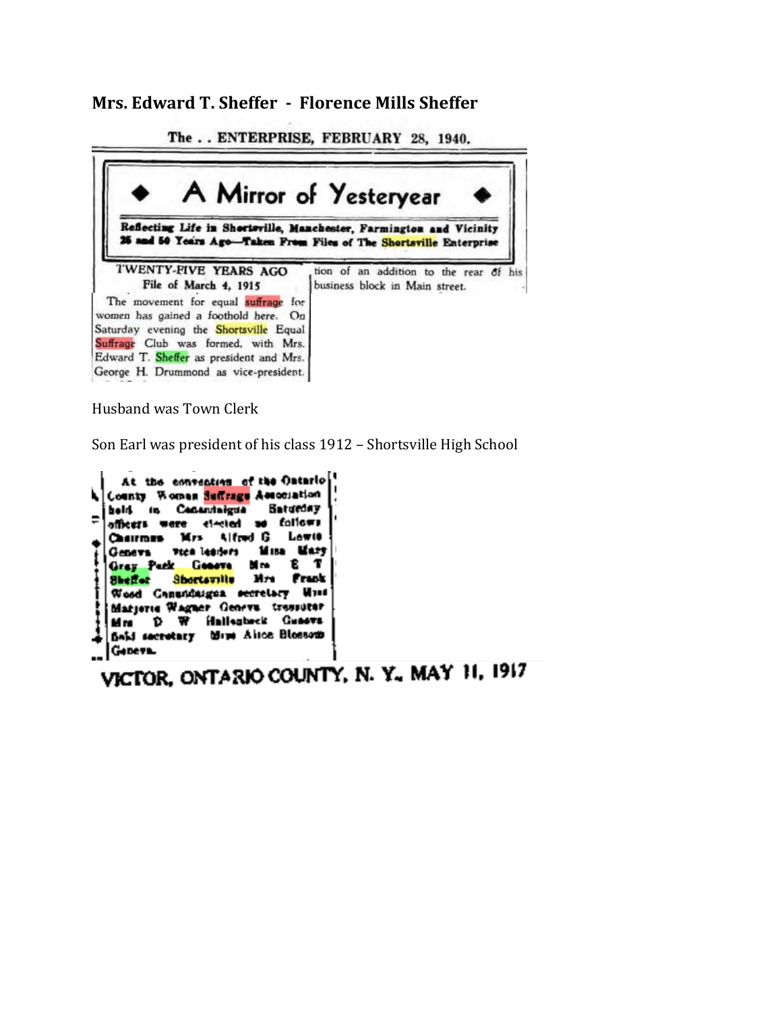**Mrs. Edward T. Sheffer - Florence Mills Sheffer**

The.. ENTERPRISE, FEBRUARY 28, 1940.



Husband was Town Clerk

Son Earl was president of his class 1912 – Shortsville High School

At the convention of the Ontario County Women Suffrage Association **Baturday** held in Centurinigual folic#1 officers were cleated as Chairman Mrs Lowie Alfred G 14 ISB Wary vice leaders Семета Geneva Т Gray Park M re Shortsville **Mrs** Frank **Shelfer** Wood Canundaigua secretary Must Matierie Wagner Geneva tressiter Mm D W Hallenbeck Guneva field secretary blim Airce Blossom Gebeva.

VICTOR, ONTARIO COUNTY, N.Y., MAY 11, 1917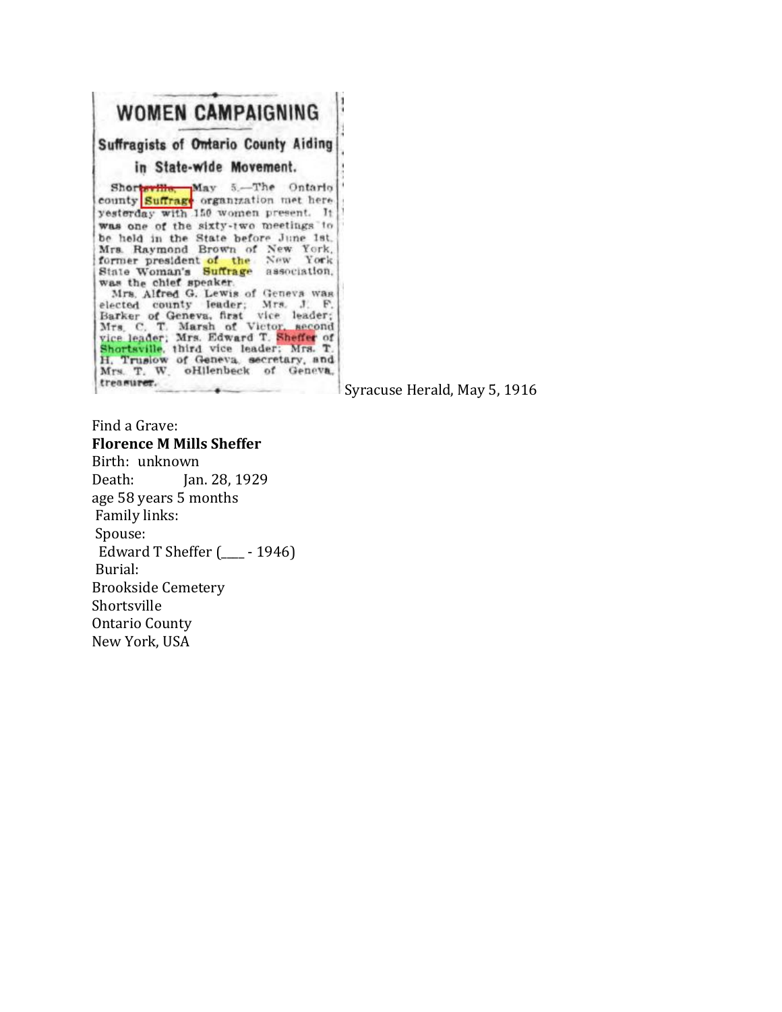|                                      | WOMEN CAMPAIGNING                                                                                                                                                                                                                                                                                                                                                                                                                                                                                                                                                                                                                         |
|--------------------------------------|-------------------------------------------------------------------------------------------------------------------------------------------------------------------------------------------------------------------------------------------------------------------------------------------------------------------------------------------------------------------------------------------------------------------------------------------------------------------------------------------------------------------------------------------------------------------------------------------------------------------------------------------|
|                                      | <b>Suffragists of Ontario County Aiding</b>                                                                                                                                                                                                                                                                                                                                                                                                                                                                                                                                                                                               |
|                                      | in State-wide Movement.                                                                                                                                                                                                                                                                                                                                                                                                                                                                                                                                                                                                                   |
| was the chief speaker.<br>treasurer. | Shorteville, May 5.-The Ontario<br>county Suffrage organization met here<br>yesterday with 150 women present. It<br>was one of the sixty-two meetings to<br>be held in the State before June 1st.<br>Mrs. Raymond Brown of New York.<br>former president of the New York<br>State Woman's Suffrage association.<br>Mrs. Alfred G. Lewis of Geneva was<br>elected county leader; Mrs. J. F.<br>Barker of Geneva, first vice leader;<br>Mrs. C. T. Marsh of Victor, second<br>vice leader; Mrs. Edward T. Sheffer of<br>Shortsville, third vice leader: Mrs. T.<br>H. Truslow of Geneva, secretary, and<br>Mrs. T. W. oHlienbeck of Geneva. |

Syracuse Herald, May 5, 1916

Find a Grave: **Florence M Mills Sheffer** Birth: unknown Death: Jan. 28, 1929 age 58 years 5 months Family links: Spouse: Edward T Sheffer (\_\_\_\_ - 1946) Burial: Brookside Cemetery Shortsville Ontario County New York, USA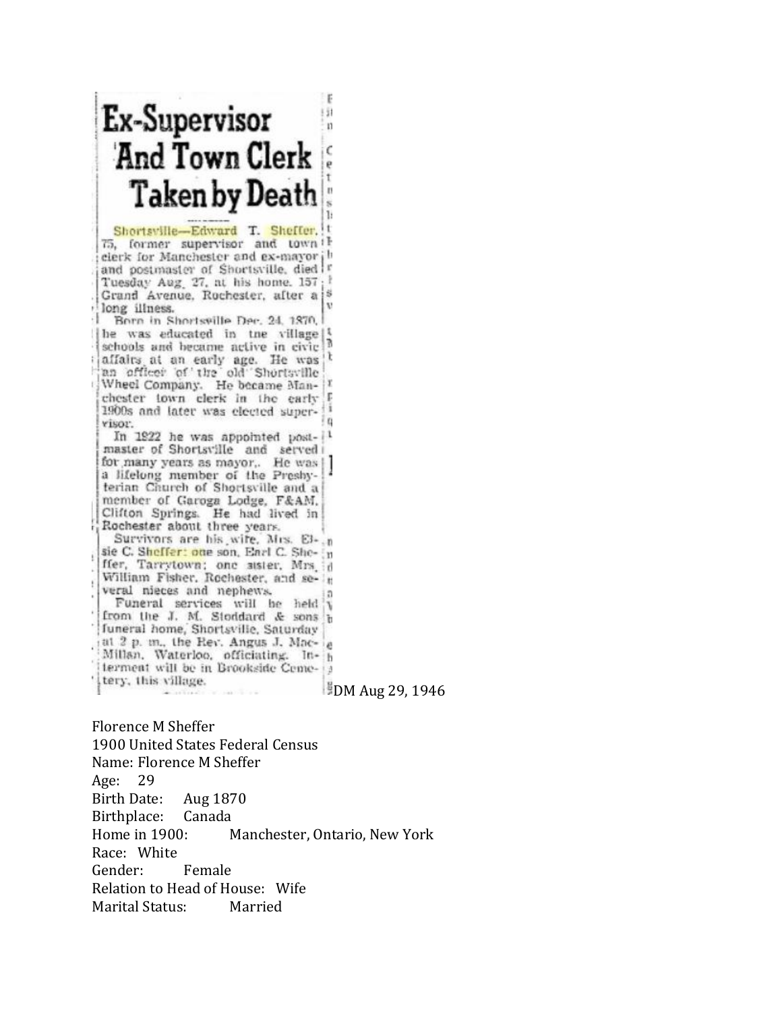| Ex-Supervisor<br>And Town Clerk                                                                                                                                                                                                                                                                    | ÿ1<br>п                |
|----------------------------------------------------------------------------------------------------------------------------------------------------------------------------------------------------------------------------------------------------------------------------------------------------|------------------------|
| Taken by Death                                                                                                                                                                                                                                                                                     | t                      |
| Shortsville-Edward T. Sheffer,<br>75, former supervisor and town<br>cierk for Manchester and ex-mayor<br>and postmaster of Shortsville, died<br>Tuesday Aug. 27, at his home. 157<br>Grand Avenue, Rochester, after a<br>long illness.                                                             | 1:<br>v                |
| -1<br>Born in Shortsville Dec. 24, 1870.<br>he was educated in tne village<br>schools and became active in civic<br>allairs at an early age. He was<br>an officer of the old Shortsville<br>Wheel Company. He became Man-<br>chester town clerk in the early<br>1900s and later was elected super- | ī<br>Ì,<br>E           |
| YISOU.<br>In 1922 he was appointed post-<br>master of Shortsville and served<br>for many years as mayor,. He was<br>a lifelong member of the Preshy-<br>terian Church of Shortsville and a<br>member of Garoga Lodge, F&AM,<br>Clifton Springs. He had lived in                                    | Ł,                     |
| Rochester about three years.<br>Survivors are his wife. Mrs. El- n<br>sie C. Sheffer: one son, Earl C. She- [n<br>ffer, Tarrytown; one sister, Mrs. id<br>William Fisher, Rochester, and se- h<br>veral nieces and nephews.<br>Funeral services will be held<br>from the J. M. Stoddard & sons     | ٦                      |
| funeral home, Shortsville, Saturday<br>at 2 p. m., the Rev. Angus J. Mac-<br>Millan, Waterloo, officiating. In-<br>terment will be in Brookside Ceme-13<br>tery, this village.                                                                                                                     | <b>DM Aug 29, 1946</b> |

Florence M Sheffer 1900 United States Federal Census Name: Florence M Sheffer Age: 29 Birth Date: Aug 1870 Birthplace: Canada Home in 1900: Manchester, Ontario, New York Race: White Gender: Female Relation to Head of House: Wife Marital Status: Married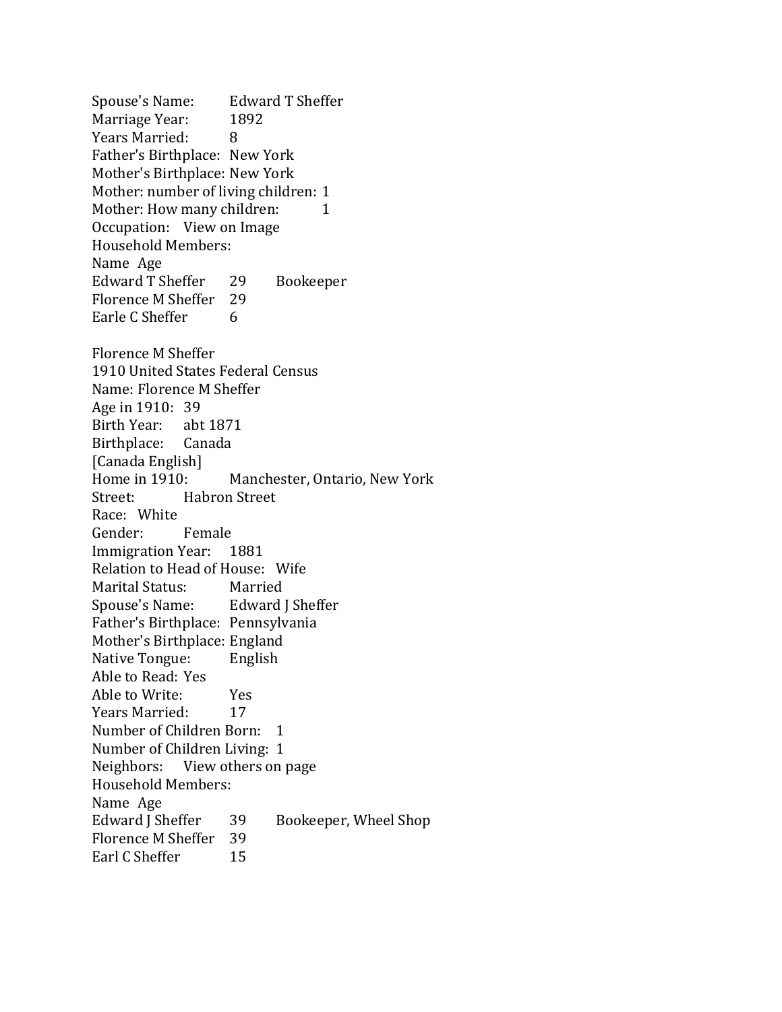Spouse's Name: Edward T Sheffer Marriage Year: 1892 Years Married: 8 Father's Birthplace: New York Mother's Birthplace: New York Mother: number of living children: 1 Mother: How many children: 1 Occupation: View on Image Household Members: Name Age Edward T Sheffer 29 Bookeeper Florence M Sheffer 29 Earle C Sheffer 6 Florence M Sheffer 1910 United States Federal Census Name: Florence M Sheffer Age in 1910: 39 Birth Year: abt 1871 Birthplace: Canada [Canada English] Home in 1910: Manchester, Ontario, New York Street: Habron Street Race: White Gender: Female Immigration Year: 1881 Relation to Head of House: Wife Marital Status: Married Spouse's Name: Edward J Sheffer Father's Birthplace: Pennsylvania Mother's Birthplace: England Native Tongue: English Able to Read: Yes Able to Write: Yes Years Married: 17 Number of Children Born: 1 Number of Children Living: 1 Neighbors: View others on page Household Members: Name Age Edward J Sheffer 39 Bookeeper, Wheel Shop Florence M Sheffer 39 Earl C Sheffer 15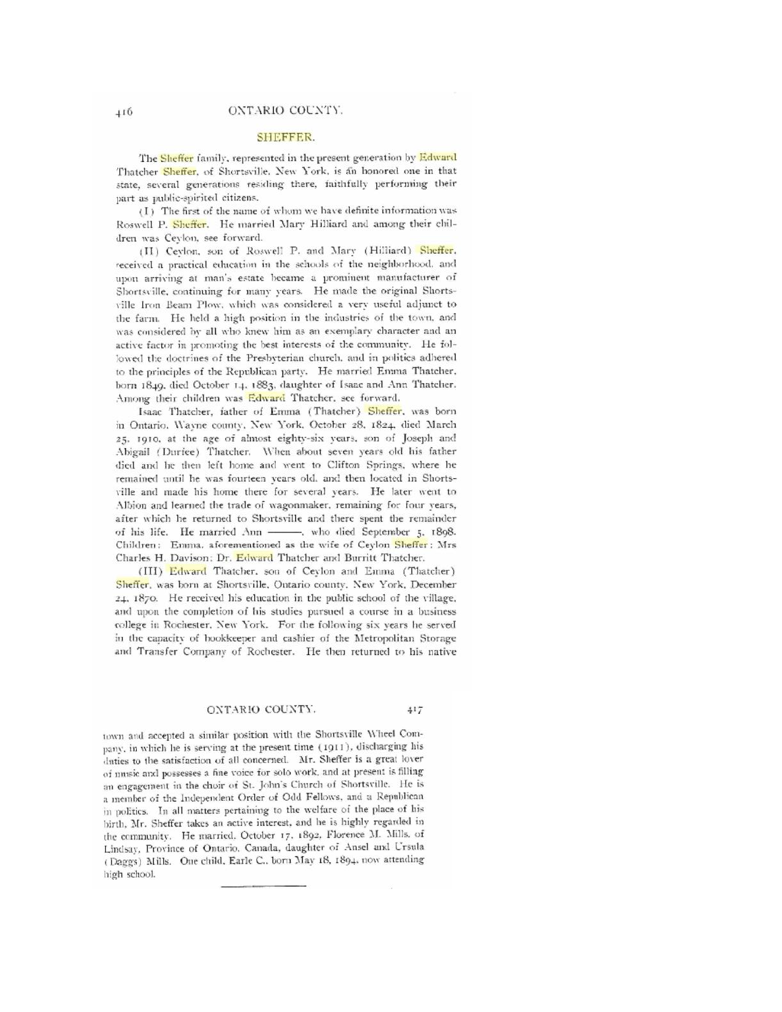## ONTARIO COUNTY.

## **SHEFFER.**

The Sheffer family, represented in the present generation by Edward Thatcher Sheffer, of Shortsville, New York, is an honored one in that state, several generations residing there, faithfully performing their part as public-spirited citizens.

(I) The first of the name of whom we have definite information was Roswell P. Sheffer. He married Mary Hilliard and among their children was Ceylon, see forward.

(II) Ceylon, son of Roswell P. and Mary (Hilliard) Sheffer, received a practical education in the schools of the neighborhood, and upon arriving at man's estate became a prominent manufacturer of Shortsville, continuing for many years. He made the original Shortsville Iron Beam Plow, which was considered a very useful adjunct to the farm. He held a high position in the industries of the town, and was considered by all who knew him as an exemplary character and an active factor in promoting the best interests of the community. He followed the doctrines of the Presbyterian church, and in politics adhered to the principles of the Republican party. He married Emma Thatcher, born 1849, died October 14, 1883, daughter of Isaac and Ann Thatcher. Among their children was Edward Thatcher, see forward.

Isaac Thatcher, father of Emma (Thatcher) Sheffer, was born in Ontario. Wayne county, New York, October 28, 1824, died March 25. 1910, at the age of almost eighty-six years, son of Joseph and Abigail (Durfee) Thatcher. When about seven years old his father died and he then left home and went to Clifton Springs, where he remained until he was fourteen years old, and then located in Shortsville and made his home there for several years. He later went to Albion and learned the trade of wagonmaker, remaining for four years, after which he returned to Shortsville and there spent the remainder of his life. He married Ann - who died September 5. 1898. Children: Emma, aforementioned as the wife of Ceylon Sheffer: Mrs Charles H. Davison: Dr. Edward Thatcher and Burritt Thatcher.

(III) Edward Thatcher, son of Ceylon and Emma (Thatcher) Sheffer, was born at Shortsville, Ontario county, New York, December 24. 1870. He received his education in the public school of the village, and upon the completion of his studies pursued a course in a business college in Rochester, New York. For the following six years he served in the capacity of bookkeeper and cashier of the Metropolitan Storage and Transfer Company of Rochester. He then returned to his native

## ONTARIO COUNTY.  $417$

town and accepted a similar position with the Shortsville Wheel Company, in which he is serving at the present time (1911), discharging his duties to the satisfaction of all concerned. Mr. Sheffer is a great lover of unisic and possesses a fine voice for solo work, and at present is filling an engagement in the choir of St. John's Church of Shortsville. He is a member of the Independent Order of Odd Fellows, and a Republican in politics. In all matters pertaining to the welfare of the place of his birth, Mr. Sheffer takes an active interest, and he is highly regarded in the community. He married. October 17, 1892, Florence M. Mills. of Lindsay, Province of Ontario, Canada, daughter of Ansel and Ursula (Daggs) Mills. One child, Earle C., born May 18, 1894, now attending high school.